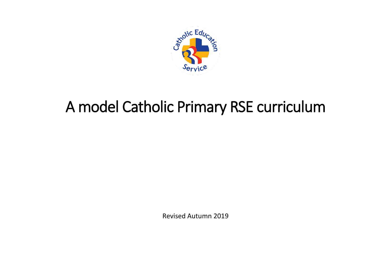

# A model Catholic Primary RSE curriculum

Revised Autumn 2019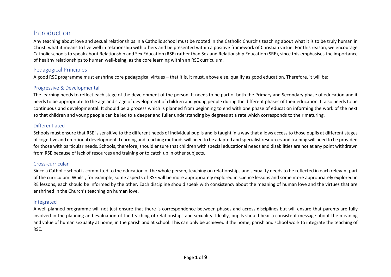### Introduction

Any teaching about love and sexual relationships in a Catholic school must be rooted in the Catholic Church's teaching about what it is to be truly human in Christ, what it means to live well in relationship with others and be presented within a positive framework of Christian virtue. For this reason, we encourage Catholic schools to speak about Relationship and Sex Education (RSE) rather than Sex and Relationship Education (SRE), since this emphasises the importance of healthy relationships to human well-being, as the core learning within an RSE curriculum.

#### Pedagogical Principles

A good RSE programme must enshrine core pedagogical virtues – that it is, it must, above else, qualify as good education. Therefore, it will be:

#### Progressive & Developmental

The learning needs to reflect each stage of the development of the person. It needs to be part of both the Primary and Secondary phase of education and it needs to be appropriate to the age and stage of development of children and young people during the different phases of their education. It also needs to be continuous and developmental. It should be a process which is planned from beginning to end with one phase of education informing the work of the next so that children and young people can be led to a deeper and fuller understanding by degrees at a rate which corresponds to their maturing.

#### Differentiated

Schools must ensure that RSE is sensitive to the different needs of individual pupils and is taught in a way that allows access to those pupils at different stages of cognitive and emotional development. Learning and teaching methods will need to be adapted and specialist resources and training will need to be provided for those with particular needs. Schools, therefore, should ensure that children with special educational needs and disabilities are not at any point withdrawn from RSE because of lack of resources and training or to catch up in other subjects.

#### Cross-curricular

Since a Catholic school is committed to the education of the whole person, teaching on relationships and sexuality needs to be reflected in each relevant part of the curriculum. Whilst, for example, some aspects of RSE will be more appropriately explored in science lessons and some more appropriately explored in RE lessons, each should be informed by the other. Each discipline should speak with consistency about the meaning of human love and the virtues that are enshrined in the Church's teaching on human love.

#### Integrated

A well-planned programme will not just ensure that there is correspondence between phases and across disciplines but will ensure that parents are fully involved in the planning and evaluation of the teaching of relationships and sexuality. Ideally, pupils should hear a consistent message about the meaning and value of human sexuality at home, in the parish and at school. This can only be achieved if the home, parish and school work to integrate the teaching of RSE.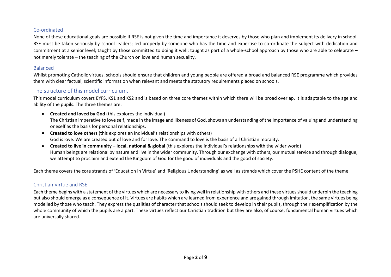#### Co-ordinated

None of these educational goals are possible if RSE is not given the time and importance it deserves by those who plan and implement its delivery in school. RSE must be taken seriously by school leaders; led properly by someone who has the time and expertise to co-ordinate the subject with dedication and commitment at a senior level; taught by those committed to doing it well; taught as part of a whole-school approach by those who are able to celebrate – not merely tolerate – the teaching of the Church on love and human sexuality.

#### Balanced

Whilst promoting Catholic virtues, schools should ensure that children and young people are offered a broad and balanced RSE programme which provides them with clear factual, scientific information when relevant and meets the statutory requirements placed on schools.

#### The structure of this model curriculum.

This model curriculum covers EYFS, KS1 and KS2 and is based on three core themes within which there will be broad overlap. It is adaptable to the age and ability of the pupils. The three themes are:

- **Created and loved by God** (this explores the individual) The Christian imperative to love self, made in the image and likeness of God, shows an understanding of the importance of valuing and understanding oneself as the basis for personal relationships.
- **Created to love others** (this explores an individual's relationships with others) God is love. We are created out of love and for love. The command to love is the basis of all Christian morality.
- **Created to live in community – local, national & global** (this explores the individual's relationships with the wider world) Human beings are relational by nature and live in the wider community. Through our exchange with others, our mutual service and through dialogue, we attempt to proclaim and extend the Kingdom of God for the good of individuals and the good of society.

Each theme covers the core strands of 'Education in Virtue' and 'Religious Understanding' as well as strands which cover the PSHE content of the theme.

#### Christian Virtue and RSE

Each theme begins with a statement of the virtues which are necessary to living well in relationship with others and these virtues should underpin the teaching but also should emerge as a consequence of it. Virtues are habits which are learned from experience and are gained through imitation, the same virtues being modelled by those who teach. They express the qualities of character that schools should seek to develop in their pupils, through their exemplification by the whole community of which the pupils are a part. These virtues reflect our Christian tradition but they are also, of course, fundamental human virtues which are universally shared.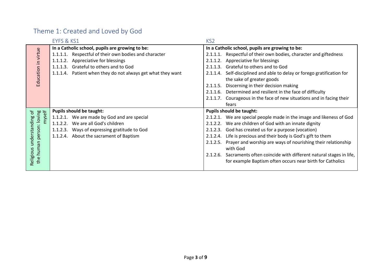# Theme 1: Created and Loved by God

|                                                        | EYFS & KS1                                                  | KS <sub>2</sub>                                                              |  |
|--------------------------------------------------------|-------------------------------------------------------------|------------------------------------------------------------------------------|--|
| Education in virtue                                    | In a Catholic school, pupils are growing to be:             | In a Catholic school, pupils are growing to be:                              |  |
|                                                        | 1.1.1.1. Respectful of their own bodies and character       | Respectful of their own bodies, character and giftedness<br>2.1.1.1.         |  |
|                                                        | 1.1.1.2. Appreciative for blessings                         | 2.1.1.2. Appreciative for blessings                                          |  |
|                                                        | Grateful to others and to God<br>1.1.1.3.                   | Grateful to others and to God<br>2.1.1.3.                                    |  |
|                                                        | 1.1.1.4. Patient when they do not always get what they want | Self-disciplined and able to delay or forego gratification for<br>2.1.1.4.   |  |
|                                                        |                                                             | the sake of greater goods                                                    |  |
|                                                        |                                                             | Discerning in their decision making<br>2.1.1.5.                              |  |
|                                                        |                                                             | 2.1.1.6. Determined and resilient in the face of difficulty                  |  |
|                                                        |                                                             | 2.1.1.7. Courageous in the face of new situations and in facing their        |  |
|                                                        |                                                             | fears                                                                        |  |
| đ                                                      | <b>Pupils should be taught:</b>                             | <b>Pupils should be taught:</b>                                              |  |
|                                                        | 1.1.2.1. We are made by God and are special                 | 2.1.2.1. We are special people made in the image and likeness of God         |  |
|                                                        | 1.1.2.2. We are all God's children                          | 2.1.2.2. We are children of God with an innate dignity                       |  |
|                                                        | 1.1.2.3. Ways of expressing gratitude to God                | 2.1.2.3. God has created us for a purpose (vocation)                         |  |
| person: loving<br>myself<br>understanding<br>the human | 1.1.2.4. About the sacrament of Baptism                     | Life is precious and their body is God's gift to them<br>2.1.2.4.            |  |
|                                                        |                                                             | Prayer and worship are ways of nourishing their relationship<br>2.1.2.5.     |  |
|                                                        |                                                             | with God                                                                     |  |
|                                                        |                                                             | Sacraments often coincide with different natural stages in life,<br>2.1.2.6. |  |
| Religious                                              |                                                             | for example Baptism often occurs near birth for Catholics                    |  |
|                                                        |                                                             |                                                                              |  |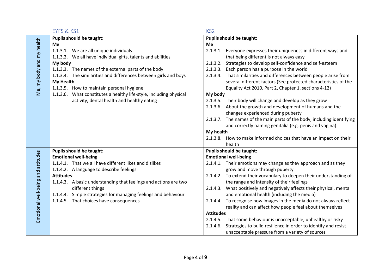|                                    | EYFS & KS1                                                         | KS <sub>2</sub>             |                                                                         |  |
|------------------------------------|--------------------------------------------------------------------|-----------------------------|-------------------------------------------------------------------------|--|
|                                    | <b>Pupils should be taught:</b>                                    |                             | <b>Pupils should be taught:</b>                                         |  |
| Me, my body and my health          | <b>Me</b>                                                          | Me                          |                                                                         |  |
|                                    | 1.1.3.1. We are all unique individuals                             | 2.1.3.1.                    | Everyone expresses their uniqueness in different ways and               |  |
|                                    | 1.1.3.2. We all have individual gifts, talents and abilities       |                             | that being different is not always easy                                 |  |
|                                    | My body                                                            | 2.1.3.2.                    | Strategies to develop self-confidence and self-esteem                   |  |
|                                    | 1.1.3.3. The names of the external parts of the body               |                             | 2.1.3.3. Each person has a purpose in the world                         |  |
|                                    | 1.1.3.4. The similarities and differences between girls and boys   |                             | 2.1.3.4. That similarities and differences between people arise from    |  |
|                                    | <b>My Health</b>                                                   |                             | several different factors (See protected characteristics of the         |  |
|                                    | 1.1.3.5. How to maintain personal hygiene                          |                             | Equality Act 2010, Part 2, Chapter 1, sections 4-12)                    |  |
|                                    | 1.1.3.6. What constitutes a healthy life-style, including physical | My body                     |                                                                         |  |
|                                    | activity, dental health and healthy eating                         |                             | 2.1.3.5. Their body will change and develop as they grow                |  |
|                                    |                                                                    |                             | 2.1.3.6. About the growth and development of humans and the             |  |
|                                    |                                                                    |                             | changes experienced during puberty                                      |  |
|                                    |                                                                    |                             | 2.1.3.7. The names of the main parts of the body, including identifying |  |
|                                    |                                                                    |                             | and correctly naming genitalia (e.g. penis and vagina)                  |  |
|                                    |                                                                    | My health                   |                                                                         |  |
|                                    |                                                                    |                             | 2.1.3.8. How to make informed choices that have an impact on their      |  |
|                                    |                                                                    |                             | health                                                                  |  |
|                                    | <b>Pupils should be taught:</b>                                    |                             | <b>Pupils should be taught:</b>                                         |  |
|                                    | <b>Emotional well-being</b>                                        | <b>Emotional well-being</b> |                                                                         |  |
|                                    | 1.1.4.1. That we all have different likes and dislikes             |                             | 2.1.4.1. Their emotions may change as they approach and as they         |  |
|                                    | 1.1.4.2. A language to describe feelings                           |                             | grow and move through puberty                                           |  |
|                                    | <b>Attitudes</b>                                                   |                             | 2.1.4.2. To extend their vocabulary to deepen their understanding of    |  |
|                                    | 1.1.4.3. A basic understanding that feelings and actions are two   |                             | the range and intensity of their feelings                               |  |
|                                    | different things                                                   |                             | 2.1.4.3. What positively and negatively affects their physical, mental  |  |
| Emotional well-being and attitudes | 1.1.4.4. Simple strategies for managing feelings and behaviour     |                             | and emotional health (including the media)                              |  |
|                                    | 1.1.4.5. That choices have consequences                            |                             | 2.1.4.4. To recognise how images in the media do not always reflect     |  |
|                                    |                                                                    |                             | reality and can affect how people feel about themselves                 |  |
|                                    |                                                                    |                             | <b>Attitudes</b>                                                        |  |
|                                    |                                                                    |                             | 2.1.4.5. That some behaviour is unacceptable, unhealthy or risky        |  |
|                                    |                                                                    |                             | 2.1.4.6. Strategies to build resilience in order to identify and resist |  |
|                                    |                                                                    |                             | unacceptable pressure from a variety of sources                         |  |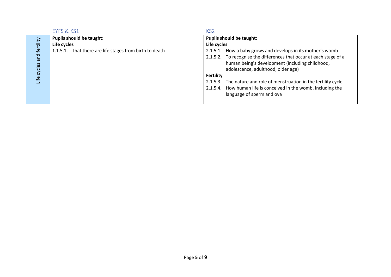|                              | EYFS & KS1                                              | KS <sub>2</sub>                                                     |
|------------------------------|---------------------------------------------------------|---------------------------------------------------------------------|
| and fertility<br>Life cycles | Pupils should be taught:                                | <b>Pupils should be taught:</b>                                     |
|                              | Life cycles                                             | Life cycles                                                         |
|                              | 1.1.5.1. That there are life stages from birth to death | 2.1.5.1. How a baby grows and develops in its mother's womb         |
|                              |                                                         | 2.1.5.2. To recognise the differences that occur at each stage of a |
|                              |                                                         | human being's development (including childhood,                     |
|                              |                                                         | adolescence, adulthood, older age)                                  |
|                              |                                                         | Fertility                                                           |
|                              |                                                         | 2.1.5.3. The nature and role of menstruation in the fertility cycle |
|                              |                                                         | 2.1.5.4. How human life is conceived in the womb, including the     |
|                              |                                                         | language of sperm and ova                                           |
|                              |                                                         |                                                                     |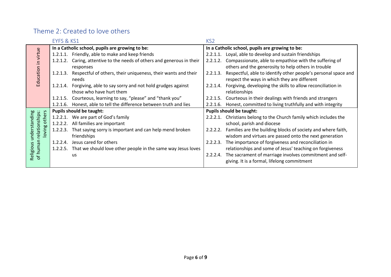## Theme 2: Created to love others

|                                                                    | EYFS & KS1                                      |                                                                                                | KS <sub>2</sub>                                 |                                                                                                                        |
|--------------------------------------------------------------------|-------------------------------------------------|------------------------------------------------------------------------------------------------|-------------------------------------------------|------------------------------------------------------------------------------------------------------------------------|
| virtue<br>Education in                                             | In a Catholic school, pupils are growing to be: |                                                                                                | In a Catholic school, pupils are growing to be: |                                                                                                                        |
|                                                                    |                                                 | 1.2.1.1. Friendly, able to make and keep friends                                               | 2.2.1.1.                                        | Loyal, able to develop and sustain friendships                                                                         |
|                                                                    | 1.2.1.2.                                        | Caring, attentive to the needs of others and generous in their<br>responses                    | 2.2.1.2.                                        | Compassionate, able to empathise with the suffering of<br>others and the generosity to help others in trouble          |
|                                                                    | 1.2.1.3.                                        | Respectful of others, their uniqueness, their wants and their<br>needs                         | 2.2.1.3.                                        | Respectful, able to identify other people's personal space and<br>respect the ways in which they are different         |
|                                                                    |                                                 | 1.2.1.4. Forgiving, able to say sorry and not hold grudges against<br>those who have hurt them | 2.2.1.4.                                        | Forgiving, developing the skills to allow reconciliation in<br>relationships                                           |
|                                                                    | 1.2.1.5.                                        | Courteous, learning to say, "please" and "thank you"                                           | 2.2.1.5.                                        | Courteous in their dealings with friends and strangers                                                                 |
|                                                                    | 1.2.1.6.                                        | Honest, able to tell the difference between truth and lies                                     | 2.2.1.6.                                        | Honest, committed to living truthfully and with integrity                                                              |
| ုပ္မ                                                               | <b>Pupils should be taught:</b>                 |                                                                                                | <b>Pupils should be taught:</b>                 |                                                                                                                        |
| other                                                              |                                                 | 1.2.2.1. We are part of God's family                                                           | $2.2.2.1$ .                                     | Christians belong to the Church family which includes the                                                              |
|                                                                    |                                                 | 1.2.2.2. All families are important                                                            |                                                 | school, parish and diocese                                                                                             |
| relationships:<br>understanding<br>loving<br>Religious<br>of human | 1.2.2.3.                                        | That saying sorry is important and can help mend broken<br>friendships                         | 2.2.2.2.                                        | Families are the building blocks of society and where faith,<br>wisdom and virtues are passed onto the next generation |
|                                                                    | 1.2.2.4.                                        | Jesus cared for others                                                                         | 2.2.2.3.                                        | The importance of forgiveness and reconciliation in                                                                    |
|                                                                    | 1.2.2.5.                                        | That we should love other people in the same way Jesus loves                                   |                                                 | relationships and some of Jesus' teaching on forgiveness                                                               |
|                                                                    |                                                 | us                                                                                             | 2.2.2.4.                                        | The sacrament of marriage involves commitment and self-<br>giving. It is a formal, lifelong commitment                 |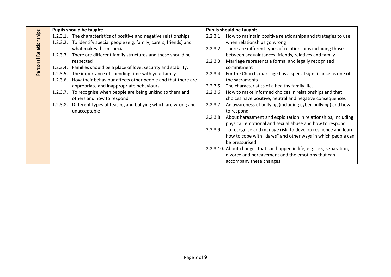| Personal Relationships | <b>Pupils should be taught:</b> |                                                                             | <b>Pupils should be taught:</b> |                                                                           |
|------------------------|---------------------------------|-----------------------------------------------------------------------------|---------------------------------|---------------------------------------------------------------------------|
|                        |                                 | 1.2.3.1. The characteristics of positive and negative relationships         | 2.2.3.1.                        | How to maintain positive relationships and strategies to use              |
|                        |                                 | 1.2.3.2. To identify special people (e.g. family, carers, friends) and      |                                 | when relationships go wrong                                               |
|                        |                                 | what makes them special                                                     |                                 | 2.2.3.2. There are different types of relationships including those       |
|                        | 1.2.3.3.                        | There are different family structures and these should be                   |                                 | between acquaintances, friends, relatives and family                      |
|                        |                                 | respected                                                                   | 2.2.3.3.                        | Marriage represents a formal and legally recognised                       |
|                        |                                 | 1.2.3.4. Families should be a place of love, security and stability.        |                                 | commitment                                                                |
|                        |                                 | 1.2.3.5. The importance of spending time with your family                   |                                 | 2.2.3.4. For the Church, marriage has a special significance as one of    |
|                        |                                 | 1.2.3.6. How their behaviour affects other people and that there are        |                                 | the sacraments                                                            |
|                        |                                 | appropriate and inappropriate behaviours                                    |                                 | 2.2.3.5. The characteristics of a healthy family life.                    |
|                        |                                 | 1.2.3.7. To recognise when people are being unkind to them and              | 2.2.3.6.                        | How to make informed choices in relationships and that                    |
|                        |                                 | others and how to respond                                                   |                                 | choices have positive, neutral and negative consequences                  |
|                        | 1.2.3.8.                        | Different types of teasing and bullying which are wrong and<br>unacceptable | 2.2.3.7.                        | An awareness of bullying (including cyber-bullying) and how<br>to respond |
|                        |                                 |                                                                             | 2.2.3.8.                        | About harassment and exploitation in relationships, including             |
|                        |                                 |                                                                             |                                 | physical, emotional and sexual abuse and how to respond                   |
|                        |                                 |                                                                             |                                 | 2.2.3.9. To recognise and manage risk, to develop resilience and learn    |
|                        |                                 |                                                                             |                                 | how to cope with "dares" and other ways in which people can               |
|                        |                                 |                                                                             |                                 | be pressurised                                                            |
|                        |                                 |                                                                             |                                 | 2.2.3.10. About changes that can happen in life, e.g. loss, separation,   |
|                        |                                 |                                                                             |                                 | divorce and bereavement and the emotions that can                         |
|                        |                                 |                                                                             |                                 | accompany these changes                                                   |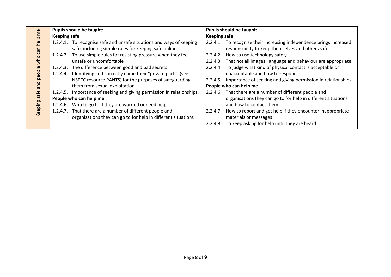|                                                                                  | <b>Pupils should be taught:</b> |                                                                        | <b>Pupils should be taught:</b> |                                                                      |
|----------------------------------------------------------------------------------|---------------------------------|------------------------------------------------------------------------|---------------------------------|----------------------------------------------------------------------|
| help<br>ლი<br>ე<br>◠<br>$\frac{1}{3}$<br>people<br>pue<br>safe<br><b>keeping</b> | <b>Keeping safe</b>             |                                                                        | <b>Keeping safe</b>             |                                                                      |
|                                                                                  |                                 | 1.2.4.1. To recognise safe and unsafe situations and ways of keeping   |                                 | 2.2.4.1. To recognise their increasing independence brings increased |
|                                                                                  |                                 | safe, including simple rules for keeping safe online                   |                                 | responsibility to keep themselves and others safe                    |
|                                                                                  |                                 | 1.2.4.2. To use simple rules for resisting pressure when they feel     | 2.2.4.2.                        | How to use technology safely                                         |
|                                                                                  |                                 | unsafe or uncomfortable                                                |                                 | 2.2.4.3. That not all images, language and behaviour are appropriate |
|                                                                                  |                                 | 1.2.4.3. The difference between good and bad secrets                   |                                 | 2.2.4.4. To judge what kind of physical contact is acceptable or     |
|                                                                                  |                                 | 1.2.4.4. Identifying and correctly name their "private parts" (see     |                                 | unacceptable and how to respond                                      |
|                                                                                  |                                 | NSPCC resource PANTS) for the purposes of safeguarding                 | 2.2.4.5.                        | Importance of seeking and giving permission in relationships         |
|                                                                                  |                                 | them from sexual exploitation                                          |                                 | People who can help me                                               |
|                                                                                  |                                 | 1.2.4.5. Importance of seeking and giving permission in relationships. |                                 | 2.2.4.6. That there are a number of different people and             |
|                                                                                  | People who can help me          |                                                                        |                                 | organisations they can go to for help in different situations        |
|                                                                                  |                                 | 1.2.4.6. Who to go to if they are worried or need help                 |                                 | and how to contact them                                              |
|                                                                                  |                                 | 1.2.4.7. That there are a number of different people and               | 2.2.4.7.                        | How to report and get help if they encounter inappropriate           |
|                                                                                  |                                 | organisations they can go to for help in different situations          |                                 | materials or messages                                                |
|                                                                                  |                                 |                                                                        | 2.2.4.8.                        | To keep asking for help until they are heard                         |